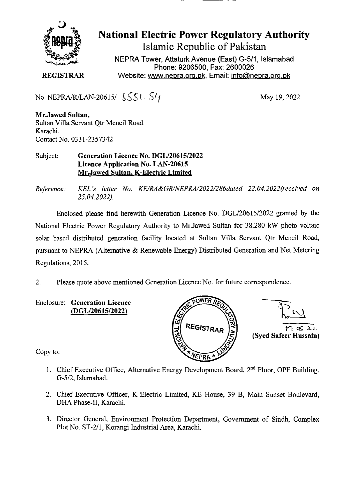

## **National Electric Power Regulatory Authority Islamic Republic of Pakistan**

**NEPRA Tower, Attaturk Avenue (East) G-5/1, Islamabad Phone: 9206500, Fax: 2600026 REGISTRAR** Website: www.nepra.org.pk, Email: info@nepra.org.pk

No. NEPRA/R/LAN-20615/  $\{S\}$  |  $\{V\}$  | May 19, 2022

**Mr.Jawed Sultan,**  Sultan Villa Servant Qtr Mcneil Road Karachi. Contact No. 033 1-2357342

Subject: **Generation Licence No. DGL/20615/2022 Licence Application No. LAN-20615 Mr.Jawed Sultan, K-Electric Limited** 

*Reference: KEL 's letter No. KE/RA&GR/NEPRA/2022/286dated 22.04. 2022(received on 25.04.2022).* 

Enclosed please find herewith Generation Licence No. DGL/206 15/2022 granted by the National Electric Power Regulatory Authority to Mr.Jawed Sultan for 38.280 kW photo voltaic solar based distributed generation facility located at Sultan Villa Servant Qtr Mcneil Road, pursuant to NEPRA (Alternative & Renewable Energy) Distributed Generation and Net Metering Regulations, 2015.

2. Please quote above mentioned Generation Licence No. for future correspondence.



Copy to:

- 1. Chief Executive Office, Alternative Energy Development Board,  $2<sup>nd</sup>$  Floor, OPF Building, G-5/2, Islamabad.
- 2. Chief Executive Officer, K-Electric Limited, KE House, 39 B, Main Sunset Boulevard, DHA Phase-Il, Karachi.
- 3. Director General, Environment Protection Department, Government of Sindh, Complex Plot No. ST-2/1, Korangi Industrial Area, Karachi.

Enclosure: **Generation Licence (DGL/20615/2022)**